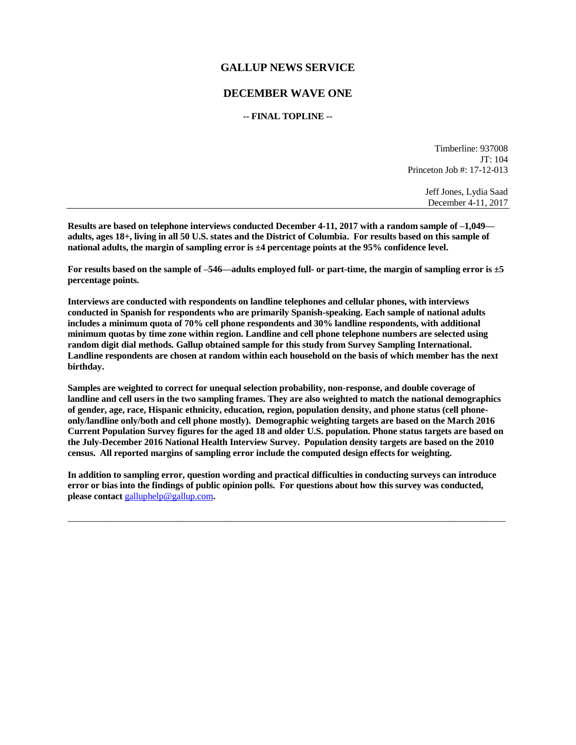## **GALLUP NEWS SERVICE**

## **DECEMBER WAVE ONE**

## **-- FINAL TOPLINE --**

Timberline: 937008 JT: 104 Princeton Job #: 17-12-013

> Jeff Jones, Lydia Saad December 4-11, 2017

**Results are based on telephone interviews conducted December 4-11, 2017 with a random sample of –1,049 adults, ages 18+, living in all 50 U.S. states and the District of Columbia. For results based on this sample of national adults, the margin of sampling error is ±4 percentage points at the 95% confidence level.** 

**For results based on the sample of –546—adults employed full- or part-time, the margin of sampling error is ±5 percentage points.**

**Interviews are conducted with respondents on landline telephones and cellular phones, with interviews conducted in Spanish for respondents who are primarily Spanish-speaking. Each sample of national adults includes a minimum quota of 70% cell phone respondents and 30% landline respondents, with additional minimum quotas by time zone within region. Landline and cell phone telephone numbers are selected using random digit dial methods. Gallup obtained sample for this study from Survey Sampling International. Landline respondents are chosen at random within each household on the basis of which member has the next birthday.**

**Samples are weighted to correct for unequal selection probability, non-response, and double coverage of landline and cell users in the two sampling frames. They are also weighted to match the national demographics of gender, age, race, Hispanic ethnicity, education, region, population density, and phone status (cell phoneonly/landline only/both and cell phone mostly). Demographic weighting targets are based on the March 2016 Current Population Survey figures for the aged 18 and older U.S. population. Phone status targets are based on the July-December 2016 National Health Interview Survey. Population density targets are based on the 2010 census. All reported margins of sampling error include the computed design effects for weighting.** 

**In addition to sampling error, question wording and practical difficulties in conducting surveys can introduce error or bias into the findings of public opinion polls. For questions about how this survey was conducted, please contact** [galluphelp@gallup.com](mailto:galluphelp@gallup.com)**.**

 $\overline{\phantom{a}}$  , and the contribution of the contribution of the contribution of the contribution of the contribution of the contribution of the contribution of the contribution of the contribution of the contribution of the